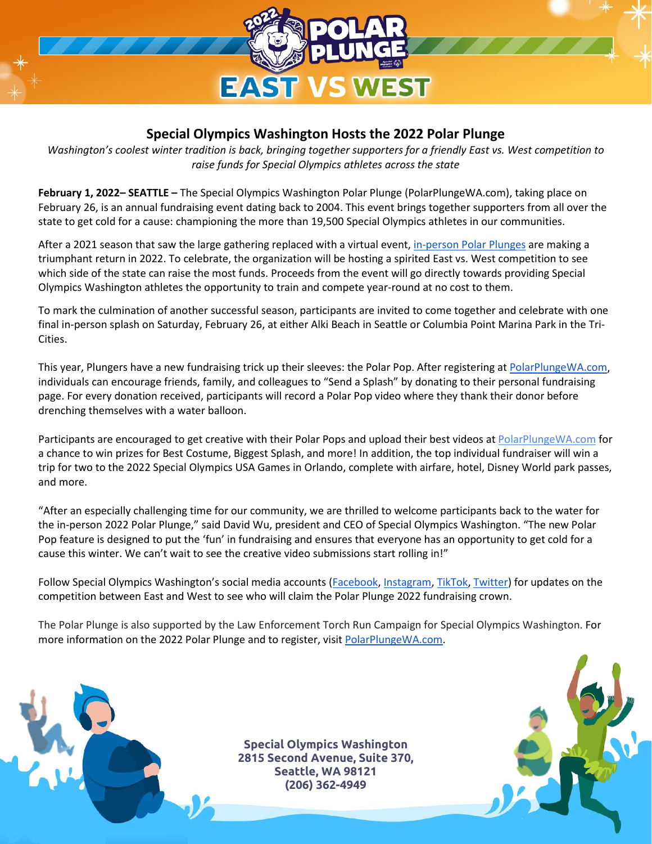

## **Special Olympics Washington Hosts the 2022 Polar Plunge**

*Washington's coolest winter tradition is back, bringing together supporters for a friendly East vs. West competition to raise funds for Special Olympics athletes across the state*

**February 1, 2022– SEATTLE –** The Special Olympics Washington Polar Plunge (PolarPlungeWA.com), taking place on February 26, is an annual fundraising event dating back to 2004. This event brings together supporters from all over the state to get cold for a cause: championing the more than 19,500 Special Olympics athletes in our communities.

After a 2021 season that saw the large gathering replaced with a virtual event, [in-person Polar Plunges](https://polarplungewa.com/#in-person-polar) are making a triumphant return in 2022. To celebrate, the organization will be hosting a spirited East vs. West competition to see which side of the state can raise the most funds. Proceeds from the event will go directly towards providing Special Olympics Washington athletes the opportunity to train and compete year-round at no cost to them.

To mark the culmination of another successful season, participants are invited to come together and celebrate with one final in-person splash on Saturday, February 26, at either Alki Beach in Seattle or Columbia Point Marina Park in the Tri-Cities.

This year, Plungers have a new fundraising [t](http://polarplungewa.com/)rick up their sleeves: the Polar Pop. After registering at [PolarPlungeWA.com,](http://polarplungewa.com/) individuals can encourage friends, family, and colleagues to "Send a Splash" by donating to their personal fundraising page. For every donation received, participants will record a Polar Pop video where they thank their donor before drenching themselves with a water balloon.

Participants are encouraged to get creative with their Polar Pops and upload their best videos at PolarPlungeWA.com for a chance to win prizes for Best Costume, Biggest Splash, and more! In addition, the top individual fundraiser will win a trip for two to the 2022 Special Olympics USA Games in Orlando, complete with airfare, hotel, Disney World park passes, and more.

"After an especially challenging time for our community, we are thrilled to welcome participants back to the water for the in-person 2022 Polar Plunge," said David Wu, president and CEO of Special Olympics Washington. "The new Polar Pop feature is designed to put the 'fun' in fundraising and ensures that everyone has an opportunity to get cold for a cause this winter. We can't wait to see the creative video submissions start rolling in!"

Follow Special Olympics Washington's social media accounts [\(Facebook,](https://www.facebook.com/SpecialOlympicsWa) [Instagram,](https://www.instagram.com/specialolympicswashington/) [TikTok,](https://www.tiktok.com/@so_washington) [Twitter\)](https://twitter.com/SO_Washington) for updates on the competition between East and West to see who will claim the Polar Plunge 2022 fundraising crown.

The Polar Plunge is also supported by the Law Enforcement Torch Run Campaign for Special Olympics Washington. For more information on the 2022 Polar Plunge and to register, visi[t](http://polarplungewa.com/) [PolarPlungeWA.com.](http://polarplungewa.com/)

> **Special Olympics Washington 2815 Second Avenue, Suite 370, Seattle, WA 98121 (206) 362-4949**